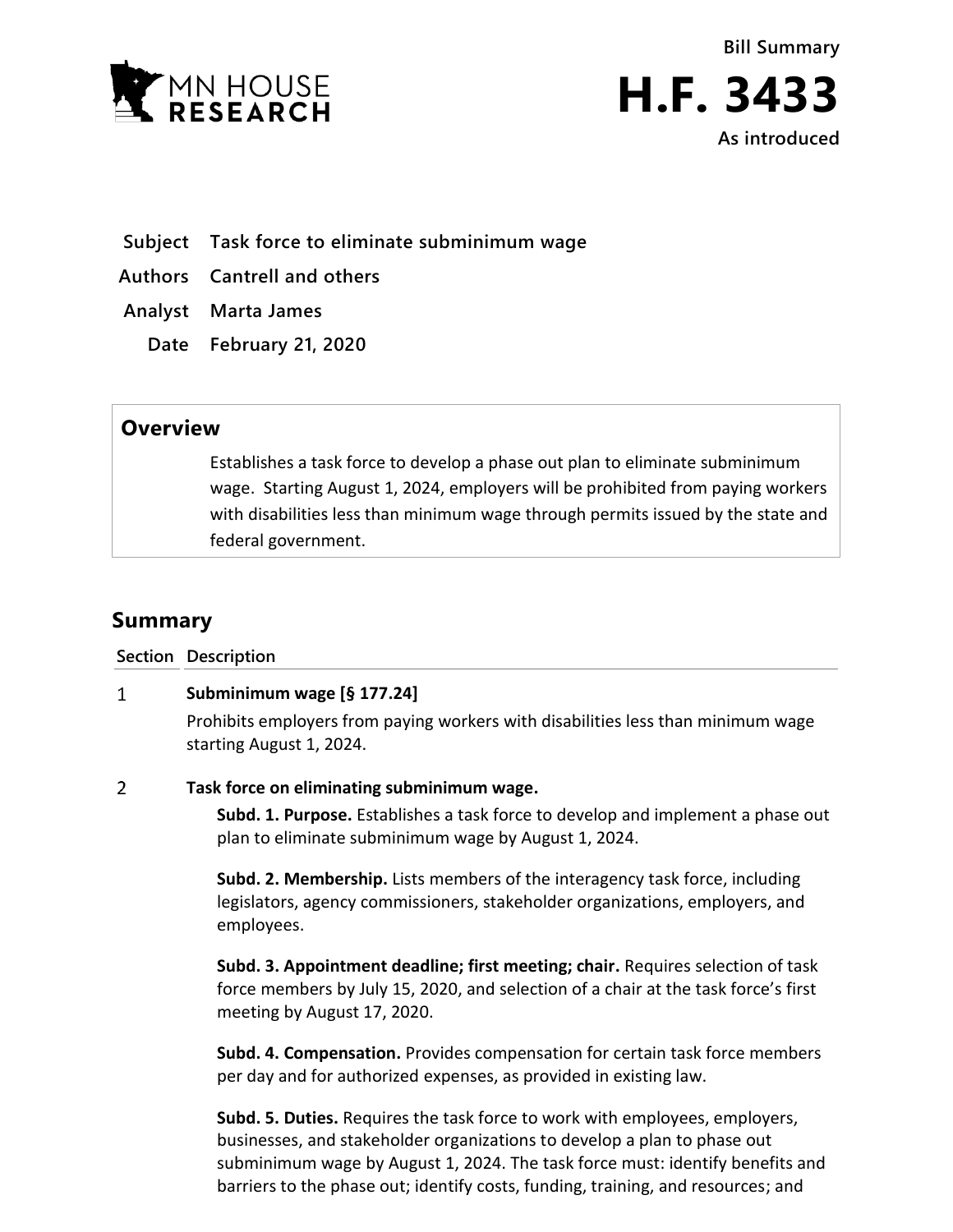



- **Subject Task force to eliminate subminimum wage**
- **Authors Cantrell and others**
- **Analyst Marta James**
	- **Date February 21, 2020**

## **Overview**

Establishes a task force to develop a phase out plan to eliminate subminimum wage. Starting August 1, 2024, employers will be prohibited from paying workers with disabilities less than minimum wage through permits issued by the state and federal government.

# **Summary**

**Section Description**

#### $\mathbf{1}$ **Subminimum wage [§ 177.24]**

Prohibits employers from paying workers with disabilities less than minimum wage starting August 1, 2024.

#### $\overline{2}$ **Task force on eliminating subminimum wage.**

**Subd. 1. Purpose.** Establishes a task force to develop and implement a phase out plan to eliminate subminimum wage by August 1, 2024.

**Subd. 2. Membership.** Lists members of the interagency task force, including legislators, agency commissioners, stakeholder organizations, employers, and employees.

**Subd. 3. Appointment deadline; first meeting; chair.** Requires selection of task force members by July 15, 2020, and selection of a chair at the task force's first meeting by August 17, 2020.

**Subd. 4. Compensation.** Provides compensation for certain task force members per day and for authorized expenses, as provided in existing law.

**Subd. 5. Duties.** Requires the task force to work with employees, employers, businesses, and stakeholder organizations to develop a plan to phase out subminimum wage by August 1, 2024. The task force must: identify benefits and barriers to the phase out; identify costs, funding, training, and resources; and